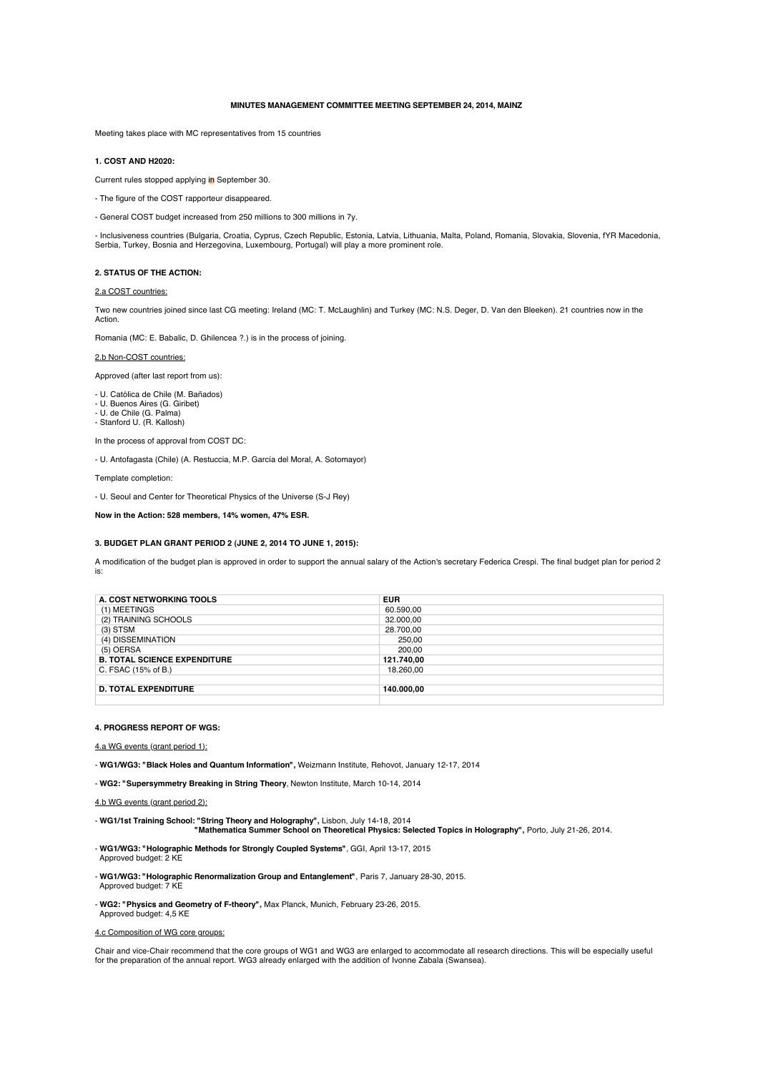# **MINUTES MANAGEMENT COMMITTEE MEETING SEPTEMBER 24, 2014, MAINZ**

Meeting takes place with MC representatives from 15 countries

# **1. COST AND H2020:**

Current rules stopped applying in September 30.

- The figure of the COST rapporteur disappeared.
- General COST budget increased from 250 millions to 300 millions in 7y.

- Inclusiveness countries (Bulgaria, Croatia, Cyprus, Czech Republic, Estonia, Latvia, Lithuania, Malta, Poland, Romania, Slovakia, Slovenia, fYR Macedonia, Serbia, Turkey, Bosnia and Herzegovina, Luxembourg, Portugal) will play a more prominent role.

# **2. STATUS OF THE ACTION:**

#### 2.a COST countries:

Two new countries joined since last CG meeting: Ireland (MC: T. McLaughlin) and Turkey (MC: N.S. Deger, D. Van den Bleeken). 21 countries now in the Action.

Romania (MC: E. Babalic, D. Ghilencea ?.) is in the process of joining.

# 2.b Non-COST countries:

Approved (after last report from us):

- U. Católica de Chile (M. Bañados) U. Buenos Aires (G. Giribet) U. de Chile (G. Palma)
- 
- Stanford U. (R. Kallosh)

In the process of approval from COST DC:

- U. Antofagasta (Chile) (A. Restuccia, M.P. García del Moral, A. Sotomayor)

Template completion:

- U. Seoul and Center for Theoretical Physics of the Universe (S-J Rey)

**Now in the Action: 528 members, 14% women, 47% ESR.**

## **3. BUDGET PLAN GRANT PERIOD 2 (JUNE 2, 2014 TO JUNE 1, 2015):**

A modification of the budget plan is approved in order to support the annual salary of the Action's secretary Federica Crespi. The final budget plan for period 2 is:

| A. COST NETWORKING TOOLS            | <b>EUR</b> |
|-------------------------------------|------------|
| (1) MEETINGS                        | 60.590.00  |
| (2) TRAINING SCHOOLS                | 32.000.00  |
| $(3)$ STSM                          | 28.700,00  |
| (4) DISSEMINATION                   | 250.00     |
| (5) OERSA                           | 200.00     |
| <b>B. TOTAL SCIENCE EXPENDITURE</b> | 121.740,00 |
| C. FSAC (15% of B.)                 | 18.260.00  |
|                                     |            |
| <b>D. TOTAL EXPENDITURE</b>         | 140.000.00 |
|                                     |            |

#### **4. PROGRESS REPORT OF WGS:**

4.a WG events (grant period 1):

- **WG1/WG3: "Black Holes and Quantum Information",** Weizmann Institute, Rehovot, January 12-17, 2014

- **WG2: "Supersymmetry Breaking in String Theory**, Newton Institute, March 10-14, 2014

- **WG1/1st Training School: "String Theory and Holography",** Lisbon, July 14-18, 2014 **"Mathematica Summer School on Theoretical Physics: Selected Topics in Holography",** Porto, July 21-26, 2014.

- **WG1/WG3: "Holographic Methods for Strongly Coupled Systems"**, GGI, April 13-17, 2015 Approved budget: 2 KE

- **WG1/WG3: "Holographic Renormalization Group and Entanglement"**, Paris 7, January 28-30, 2015. Approved budget: 7 KE

- **WG2: "Physics and Geometry of F-theory",** Max Planck, Munich, February 23-26, 2015. Approved budget: 4,5 KE

4.c Composition of WG core groups:

Chair and vice-Chair recommend that the core groups of WG1 and WG3 are enlarged to accommodate all research directions. This will be especially useful<br>for the preparation of the annual report. WG3 already enlarged with the

<sup>4.</sup>b WG events (grant period 2):